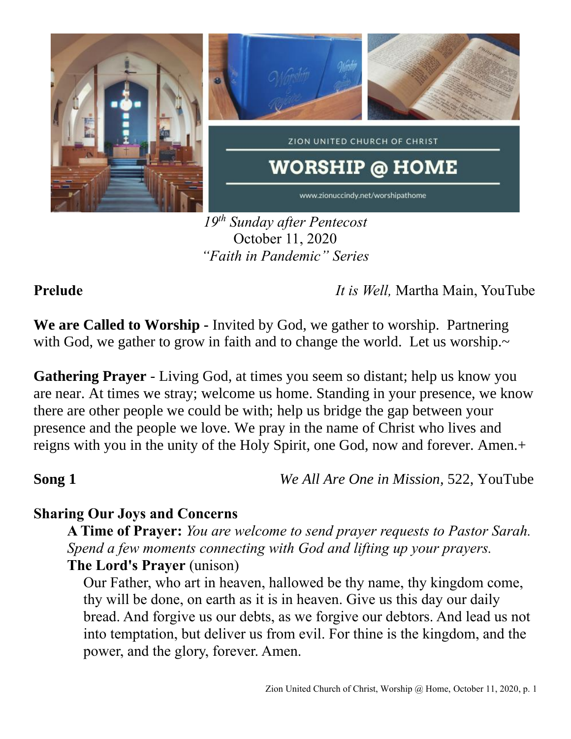

*19th Sunday after Pentecost* October 11, 2020 *"Faith in Pandemic" Series*

**Prelude** *It is Well,* Martha Main, YouTube

**We are Called to Worship -** Invited by God, we gather to worship. Partnering with God, we gather to grow in faith and to change the world. Let us worship.~

**Gathering Prayer** - Living God, at times you seem so distant; help us know you are near. At times we stray; welcome us home. Standing in your presence, we know there are other people we could be with; help us bridge the gap between your presence and the people we love. We pray in the name of Christ who lives and reigns with you in the unity of the Holy Spirit, one God, now and forever. Amen.+

**Song 1** *We All Are One in Mission,* 522, YouTube

# **Sharing Our Joys and Concerns**

**A Time of Prayer:** *You are welcome to send prayer requests to Pastor Sarah. Spend a few moments connecting with God and lifting up your prayers.* **The Lord's Prayer** (unison)

Our Father, who art in heaven, hallowed be thy name, thy kingdom come, thy will be done, on earth as it is in heaven. Give us this day our daily bread. And forgive us our debts, as we forgive our debtors. And lead us not into temptation, but deliver us from evil. For thine is the kingdom, and the power, and the glory, forever. Amen.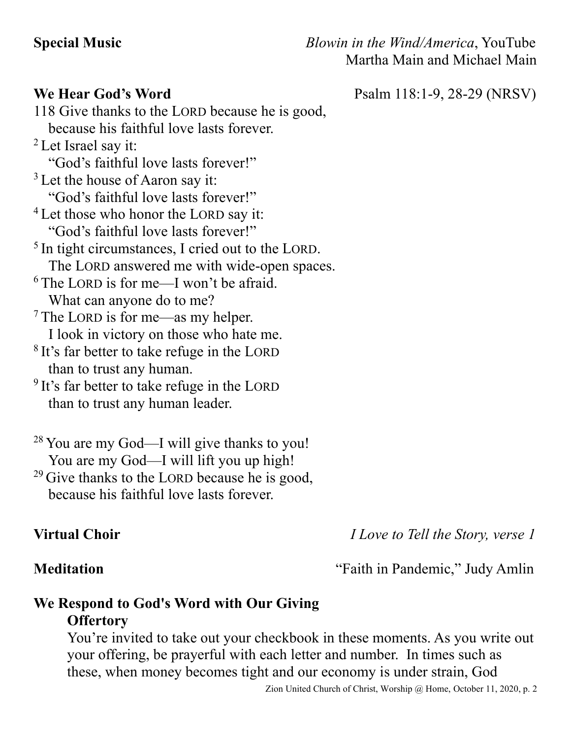**Special Music** *Blowin in the Wind/America*, YouTube Martha Main and Michael Main

**We Hear God's Word** Psalm 118:1-9, 28-29 (NRSV)

118 Give thanks to the LORD because he is good, because his faithful love lasts forever. <sup>2</sup> Let Israel say it: "God's faithful love lasts forever!" <sup>3</sup> Let the house of Aaron say it: "God's faithful love lasts forever!" <sup>4</sup> Let those who honor the LORD say it: "God's faithful love lasts forever!" <sup>5</sup> In tight circumstances, I cried out to the LORD. The LORD answered me with wide-open spaces.  $6$  The LORD is for me—I won't be afraid. What can anyone do to me? <sup>7</sup> The LORD is for me—as my helper. I look in victory on those who hate me. <sup>8</sup> It's far better to take refuge in the LORD than to trust any human. <sup>9</sup> It's far better to take refuge in the LORD than to trust any human leader.

<sup>28</sup> You are my God—I will give thanks to you! You are my God—I will lift you up high!  $^{29}$  Give thanks to the LORD because he is good,

because his faithful love lasts forever.

**Virtual Choir** *I Love to Tell the Story, verse 1*

**Meditation** "Faith in Pandemic," Judy Amlin

## **We Respond to God's Word with Our Giving Offertory**

You're invited to take out your checkbook in these moments. As you write out your offering, be prayerful with each letter and number. In times such as these, when money becomes tight and our economy is under strain, God

Zion United Church of Christ, Worship @ Home, October 11, 2020, p. 2